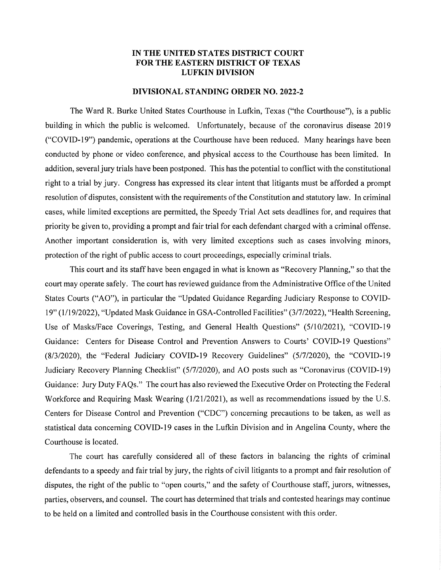## IN THE UNITED STATES DISTRICT COURT FOR THE EASTERN DISTRICT OF TEXAS LUFKIN DIVISION

## DIVISIONAL STANDING ORDER NO. 2022-2

The Ward R. Burke United States Courthouse in Lufkin, Texas ("the Courthouse"), is a public building in which the public is welcomed. Unfortunately, because of the coronavirus disease 2019 ("COVID-19 ) pandemic, operations at the Courthouse have been reduced. Many hearings have been conducted by phone or video conference, and physical access to the Courthouse has been limited. In addition, several jury trials have been postponed. This has the potential to conflict with the constitutional right to a trial by jury. Congress has expressed its clear intent that litigants must be afforded a prompt resolution of disputes, consistent with the requirements of the Constitution and statutory law. In criminal cases, while limited exceptions are permitted, the Speedy Trial Act sets deadlines for, and requires that priority be given to, providing a prompt and fair trial for each defendant charged with a criminal offense. Another important consideration is, with very limited exceptions such as cases involving minors, protection of the right of public access to court proceedings, especially criminal trials.

This court and its staff have been engaged in what is known as "Recovery Planning," so that the court may operate safely. The court has reviewed guidance from the Administrative Office of the United States Courts ("AO"), in particular the "Updated Guidance Regarding Judiciary Response to COVID-19 (1/19/2022), "Updated Mask Guidance in GSA-Controlled Facilities" (3/7/2022), "Health Screening, Use of Masks/Face Coverings, Testing, and General Health Questions" (5/10/2021), "COVID-19 Guidance: Centers for Disease Control and Prevention Answers to Courts' COVID-19 Questions" (8/3/2020), the "Federal Judiciary COVID-19 Recovery Guidelines" (5/7/2020), the "COVID-19 Judiciary Recovery Planning Checklist" (5/7/2020), and AO posts such as "Coronavirus (COVID-19) Guidance: Jury Duty FAQs." The court has also reviewed the Executive Order on Protecting the Federal Workforce and Requiring Mask Wearing (1/21/2021), as well as recommendations issued by the U.S. Centers for Disease Control and Prevention ("CDC") concerning precautions to be taken, as well as statistical data concerning COVID-19 cases in the Lufkin Division and in Angelina County, where the Courthouse is located.

The court has carefully considered all of these factors in balancing the rights of criminal defendants to a speedy and fair trial by jury, the rights of civil litigants to a prompt and fair resolution of disputes, the right of the public to "open courts," and the safety of Courthouse staff, jurors, witnesses, parties, observers, and counsel. The court has determined that trials and contested hearings may continue to be held on a limited and controlled basis in the Courthouse consistent with this order.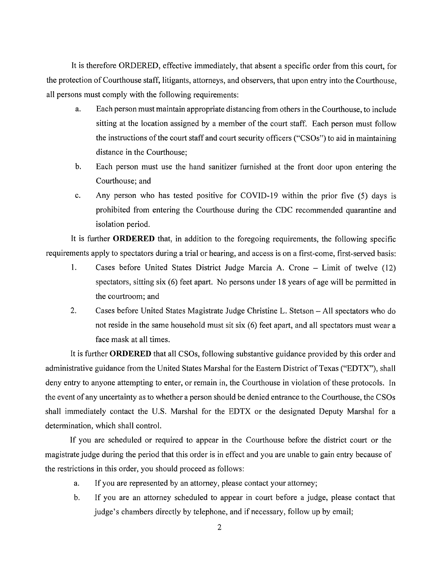It is therefore ORDERED, effective immediately, that absent a specific order from this court, for the protection of Courthouse staff, litigants, attorneys, and observers, that upon entry into the Courthouse, all persons must comply with the following requirements:

- a. Each person must maintain appropriate distancing from others in the Courthouse, to include sitting at the location assigned by a member of the court staff. Each person must follow the instructions of the court staff and court security officers ("CSOs") to aid in maintaining distance in the Courthouse;
- b. Each person must use the hand sanitizer furnished at the front door upon entering the Courthouse; and
- c. Any person who has tested positive for COVID-19 within the prior five (5) days is prohibited from entering the Courthouse during the CDC recommended quarantine and isolation period.

It is further **ORDERED** that, in addition to the foregoing requirements, the following specific requirements apply to spectators during a trial or hearing, and access is on a first-come, first-served basis:

- 1. Cases before United States District Judge Marcia A. Crone Limit of twelve (12) spectators, sitting six (6) feet apart. No persons under 18 years of age will be permitted in the courtroom; and
- 2. Cases before United States Magistrate Judge Christine L. Stetson All spectators who do not reside in the same household must sit six (6) feet apart, and all spectators must wear a face mask at all times.

It is further ORDERED that all CSOs, following substantive guidance provided by this order and administrative guidance from the United States Marshal for the Eastern District of Texas ("EDTX"), shall deny entry to anyone attempting to enter, or remain in, the Courthouse in violation of these protocols. In the event of any uncertainty as to whether a person should be denied entrance to the Courthouse, the CSOs shall immediately contact the U.S. Marshal for the EDTX or the designated Deputy Marshal for a determination, which shall control.

If you are scheduled or required to appear in the Courthouse before the district court or the magistrate judge during the period that this order is in effect and you are unable to gain entry because of the restrictions in this order, you should proceed as follows:

- a. If you are represented by an attorney, please contact your attorney;
- b. If you are an attorney scheduled to appear in court before a judge, please contact that judge's chambers directly by telephone, and if necessary, follow up by email;